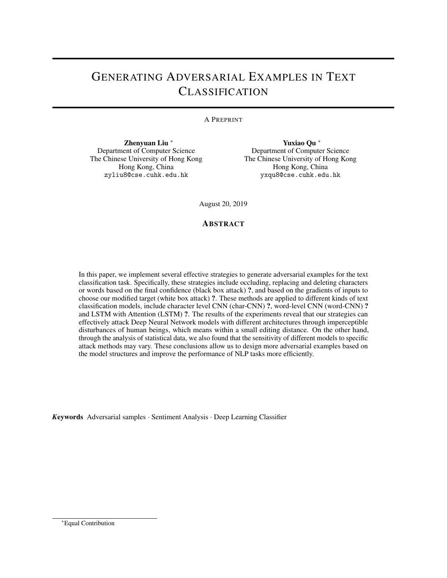# GENERATING ADVERSARIAL EXAMPLES IN TEXT CLASSIFICATION

# A PREPRINT

Zhenyuan Liu <sup>∗</sup> Department of Computer Science The Chinese University of Hong Kong Hong Kong, China zyliu8@cse.cuhk.edu.hk

Yuxiao Qu <sup>∗</sup> Department of Computer Science The Chinese University of Hong Kong Hong Kong, China yxqu8@cse.cuhk.edu.hk

August 20, 2019

# **ABSTRACT**

In this paper, we implement several effective strategies to generate adversarial examples for the text classification task. Specifically, these strategies include occluding, replacing and deleting characters or words based on the final confidence (black box attack) ?, and based on the gradients of inputs to choose our modified target (white box attack) ?. These methods are applied to different kinds of text classification models, include character level CNN (char-CNN) ?, word-level CNN (word-CNN) ? and LSTM with Attention (LSTM) ?. The results of the experiments reveal that our strategies can effectively attack Deep Neural Network models with different architectures through imperceptible disturbances of human beings, which means within a small editing distance. On the other hand, through the analysis of statistical data, we also found that the sensitivity of different models to specific attack methods may vary. These conclusions allow us to design more adversarial examples based on the model structures and improve the performance of NLP tasks more efficiently.

*K*eywords Adversarial samples · Sentiment Analysis · Deep Learning Classifier

<sup>∗</sup>Equal Contribution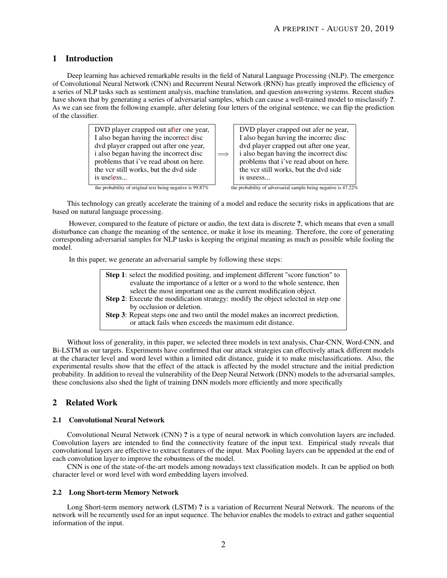# 1 Introduction

Deep learning has achieved remarkable results in the field of Natural Language Processing (NLP). The emergence of Convolutional Neural Network (CNN) and Recurrent Neural Network (RNN) has greatly improved the efficiency of a series of NLP tasks such as sentiment analysis, machine translation, and question answering systems. Recent studies have shown that by generating a series of adversarial samples, which can cause a well-trained model to misclassify ?. As we can see from the following example, after deleting four letters of the original sentence, we can flip the prediction of the classifier.



This technology can greatly accelerate the training of a model and reduce the security risks in applications that are based on natural language processing.

However, compared to the feature of picture or audio, the text data is discrete ?, which means that even a small disturbance can change the meaning of the sentence, or make it lose its meaning. Therefore, the core of generating corresponding adversarial samples for NLP tasks is keeping the original meaning as much as possible while fooling the model.

In this paper, we generate an adversarial sample by following these steps:

| <b>Step 1:</b> select the modified positing, and implement different "score function" to |
|------------------------------------------------------------------------------------------|
| evaluate the importance of a letter or a word to the whole sentence, then                |
| select the most important one as the current modification object.                        |
| Step 2: Execute the modification strategy: modify the object selected in step one        |
| by occlusion or deletion.                                                                |
| <b>Step 3:</b> Repeat steps one and two until the model makes an incorrect prediction,   |
| or attack fails when exceeds the maximum edit distance.                                  |
|                                                                                          |

Without loss of generality, in this paper, we selected three models in text analysis, Char-CNN, Word-CNN, and Bi-LSTM as our targets. Experiments have confirmed that our attack strategies can effectively attack different models at the character level and word level within a limited edit distance, guide it to make misclassifications. Also, the experimental results show that the effect of the attack is affected by the model structure and the initial prediction probability. In addition to reveal the vulnerability of the Deep Neural Network (DNN) models to the adversarial samples, these conclusions also shed the light of training DNN models more efficiently and more specifically

# 2 Related Work

# 2.1 Convolutional Neural Network

Convolutional Neural Network (CNN) ? is a type of neural network in which convolution layers are included. Convolution layers are intended to find the connectivity feature of the input text. Empirical study reveals that convolutional layers are effective to extract features of the input. Max Pooling layers can be appended at the end of each convolution layer to improve the robustness of the model.

CNN is one of the state-of-the-art models among nowadays text classification models. It can be applied on both character level or word level with word embedding layers involved.

# 2.2 Long Short-term Memory Network

Long Short-term memory network (LSTM) ? is a variation of Recurrent Neural Network. The neurons of the network will be recurrently used for an input sequence. The behavior enables the models to extract and gather sequential information of the input.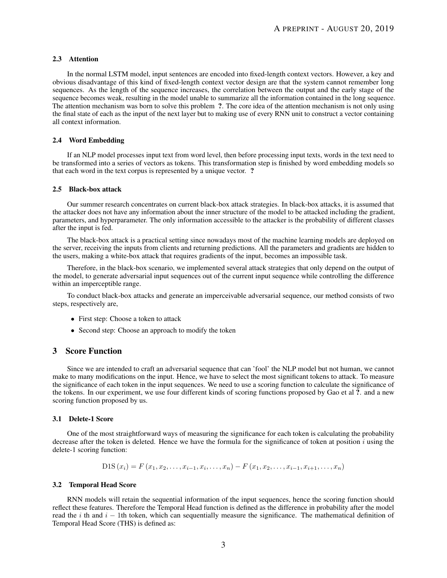### 2.3 Attention

In the normal LSTM model, input sentences are encoded into fixed-length context vectors. However, a key and obvious disadvantage of this kind of fixed-length context vector design are that the system cannot remember long sequences. As the length of the sequence increases, the correlation between the output and the early stage of the sequence becomes weak, resulting in the model unable to summarize all the information contained in the long sequence. The attention mechanism was born to solve this problem ?. The core idea of the attention mechanism is not only using the final state of each as the input of the next layer but to making use of every RNN unit to construct a vector containing all context information.

### 2.4 Word Embedding

If an NLP model processes input text from word level, then before processing input texts, words in the text need to be transformed into a series of vectors as tokens. This transformation step is finished by word embedding models so that each word in the text corpus is represented by a unique vector. ?

### 2.5 Black-box attack

Our summer research concentrates on current black-box attack strategies. In black-box attacks, it is assumed that the attacker does not have any information about the inner structure of the model to be attacked including the gradient, parameters, and hyperparameter. The only information accessible to the attacker is the probability of different classes after the input is fed.

The black-box attack is a practical setting since nowadays most of the machine learning models are deployed on the server, receiving the inputs from clients and returning predictions. All the parameters and gradients are hidden to the users, making a white-box attack that requires gradients of the input, becomes an impossible task.

Therefore, in the black-box scenario, we implemented several attack strategies that only depend on the output of the model, to generate adversarial input sequences out of the current input sequence while controlling the difference within an imperceptible range.

To conduct black-box attacks and generate an imperceivable adversarial sequence, our method consists of two steps, respectively are,

- First step: Choose a token to attack
- Second step: Choose an approach to modify the token

# 3 Score Function

Since we are intended to craft an adversarial sequence that can 'fool' the NLP model but not human, we cannot make to many modifications on the input. Hence, we have to select the most significant tokens to attack. To measure the significance of each token in the input sequences. We need to use a scoring function to calculate the significance of the tokens. In our experiment, we use four different kinds of scoring functions proposed by Gao et al ?. and a new scoring function proposed by us.

#### 3.1 Delete-1 Score

One of the most straightforward ways of measuring the significance for each token is calculating the probability decrease after the token is deleted. Hence we have the formula for the significance of token at position  $i$  using the delete-1 scoring function:

$$
DIS(x_i) = F(x_1, x_2, \dots, x_{i-1}, x_i, \dots, x_n) - F(x_1, x_2, \dots, x_{i-1}, x_{i+1}, \dots, x_n)
$$

### 3.2 Temporal Head Score

RNN models will retain the sequential information of the input sequences, hence the scoring function should reflect these features. Therefore the Temporal Head function is defined as the difference in probability after the model read the i th and  $i - 1$ th token, which can sequentially measure the significance. The mathematical definition of Temporal Head Score (THS) is defined as: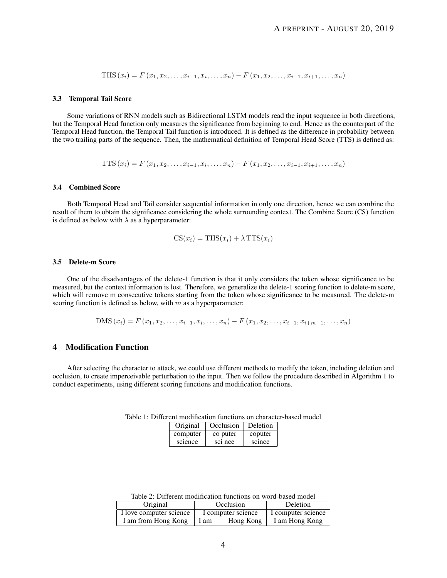$$
THS(x_i) = F(x_1, x_2, \dots, x_{i-1}, x_i, \dots, x_n) - F(x_1, x_2, \dots, x_{i-1}, x_{i+1}, \dots, x_n)
$$

#### 3.3 Temporal Tail Score

Some variations of RNN models such as Bidirectional LSTM models read the input sequence in both directions, but the Temporal Head function only measures the significance from beginning to end. Hence as the counterpart of the Temporal Head function, the Temporal Tail function is introduced. It is defined as the difference in probability between the two trailing parts of the sequence. Then, the mathematical definition of Temporal Head Score (TTS) is defined as:

TTS 
$$
(x_i)
$$
 = F  $(x_1, x_2, ..., x_{i-1}, x_i, ..., x_n)$  - F  $(x_1, x_2, ..., x_{i-1}, x_{i+1}, ..., x_n)$ 

#### 3.4 Combined Score

Both Temporal Head and Tail consider sequential information in only one direction, hence we can combine the result of them to obtain the significance considering the whole surrounding context. The Combine Score (CS) function is defined as below with  $\lambda$  as a hyperparameter:

$$
CS(x_i) = THIS(x_i) + \lambda TTS(x_i)
$$

#### 3.5 Delete-m Score

One of the disadvantages of the delete-1 function is that it only considers the token whose significance to be measured, but the context information is lost. Therefore, we generalize the delete-1 scoring function to delete-m score, which will remove m consecutive tokens starting from the token whose significance to be measured. The delete-m scoring function is defined as below, with  $m$  as a hyperparameter:

$$
DMS(x_i) = F(x_1, x_2, \dots, x_{i-1}, x_i, \dots, x_n) - F(x_1, x_2, \dots, x_{i-1}, x_{i+m-1}, \dots, x_n)
$$

# 4 Modification Function

After selecting the character to attack, we could use different methods to modify the token, including deletion and occlusion, to create imperceivable perturbation to the input. Then we follow the procedure described in Algorithm 1 to conduct experiments, using different scoring functions and modification functions.

| Original | Occlusion           | Deletion |
|----------|---------------------|----------|
| computer | co puter            | coputer  |
| science  | sc <sub>1</sub> nce | scince   |

Table 1: Different modification functions on character-based model

Table 2: Different modification functions on word-based model

| Original                | Occlusion          |           | Deletion           |  |
|-------------------------|--------------------|-----------|--------------------|--|
| I love computer science | I computer science |           | I computer science |  |
| I am from Hong Kong     | 1 am               | Hong Kong | I am Hong Kong     |  |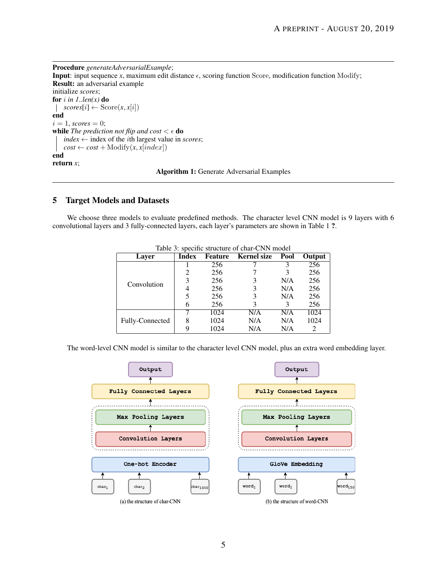Procedure *generateAdversarialExample*; **Input:** input sequence *x*, maximum edit distance  $\epsilon$ , scoring function Score, modification function Modify; Result: an adversarial example initialize *scores*; for  $i$  in 1..len(x) do  $\vert$  *scores*[*i*]  $\leftarrow$  Score $(x, x[i])$ end  $i = 1$ , *scores* = 0; **while** *The prediction not flip and cost*  $\lt \epsilon$  **do** *index*  $\leftarrow$  index of the *i*th largest value in *scores*;  $cost \leftarrow cost + Modify(x, x[index])$ end return *x*; Algorithm 1: Generate Adversarial Examples

# 5 Target Models and Datasets

We choose three models to evaluate predefined methods. The character level CNN model is 9 layers with 6 convolutional layers and 3 fully-connected layers, each layer's parameters are shown in Table 1 ?.

| Layer           | Index | <b>Feature</b> | <b>Kernel size</b> | Pool | Output |
|-----------------|-------|----------------|--------------------|------|--------|
| Convolution     |       | 256            |                    |      | 256    |
|                 |       | 256            |                    |      | 256    |
|                 |       | 256            |                    | N/A  | 256    |
|                 |       | 256            | 3                  | N/A  | 256    |
|                 |       | 256            | 3                  | N/A  | 256    |
|                 |       | 256            | 3                  | 3    | 256    |
| Fully-Connected |       | 1024           | N/A                | N/A  | 1024   |
|                 |       | 1024           | N/A                | N/A  | 1024   |
|                 |       | 1024           | N/A                | N/A  |        |

Table 3: specific structure of char-CNN model

The word-level CNN model is similar to the character level CNN model, plus an extra word embedding layer.

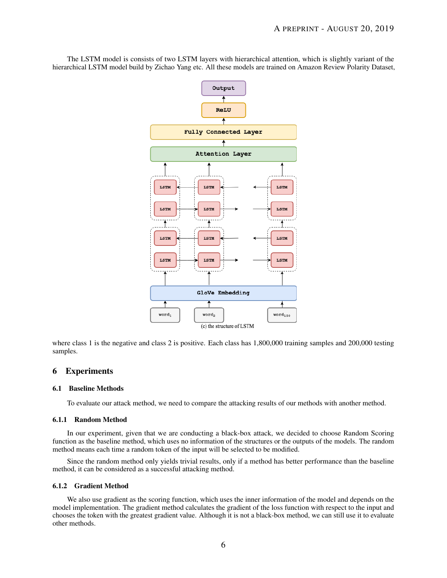The LSTM model is consists of two LSTM layers with hierarchical attention, which is slightly variant of the hierarchical LSTM model build by Zichao Yang etc. All these models are trained on Amazon Review Polarity Dataset,



where class 1 is the negative and class 2 is positive. Each class has 1,800,000 training samples and 200,000 testing samples.

# 6 Experiments

### 6.1 Baseline Methods

To evaluate our attack method, we need to compare the attacking results of our methods with another method.

### 6.1.1 Random Method

In our experiment, given that we are conducting a black-box attack, we decided to choose Random Scoring function as the baseline method, which uses no information of the structures or the outputs of the models. The random method means each time a random token of the input will be selected to be modified.

Since the random method only yields trivial results, only if a method has better performance than the baseline method, it can be considered as a successful attacking method.

## 6.1.2 Gradient Method

We also use gradient as the scoring function, which uses the inner information of the model and depends on the model implementation. The gradient method calculates the gradient of the loss function with respect to the input and chooses the token with the greatest gradient value. Although it is not a black-box method, we can still use it to evaluate other methods.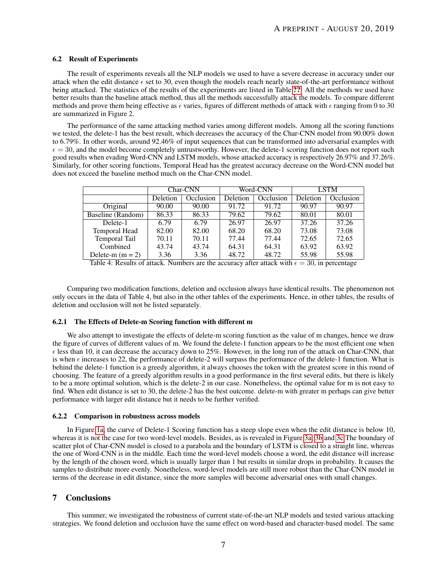### 6.2 Result of Experiments

The result of experiments reveals all the NLP models we used to have a severe decrease in accuracy under our attack when the edit distance  $\epsilon$  set to 30, even though the models reach nearly state-of-the-art performance without being attacked. The statistics of the results of the experiments are listed in Table [??](#page-6-0). All the methods we used have better results than the baseline attack method, thus all the methods successfully attack the models. To compare different methods and prove them being effective as  $\epsilon$  varies, figures of different methods of attack with  $\epsilon$  ranging from 0 to 30 are summarized in Figure 2.

The performance of the same attacking method varies among different models. Among all the scoring functions we tested, the delete-1 has the best result, which decreases the accuracy of the Char-CNN model from 90.00% down to 6.79%. In other words, around 92.46% of input sequences that can be transformed into adversarial examples with  $\epsilon = 30$ , and the model become completely untrustworthy. However, the delete-1 scoring function does not report such good results when evading Word-CNN and LSTM models, whose attacked accuracy is respectively 26.97% and 37.26%. Similarly, for other scoring functions, Temporal Head has the greatest accuracy decrease on the Word-CNN model but does not exceed the baseline method much on the Char-CNN model.

<span id="page-6-0"></span>

|                      | Char-CNN |           | Word-CNN |           | <b>LSTM</b> |           |
|----------------------|----------|-----------|----------|-----------|-------------|-----------|
|                      | Deletion | Occlusion | Deletion | Occlusion | Deletion    | Occlusion |
| Original             | 90.00    | 90.00     | 91.72    | 91.72     | 90.97       | 90.97     |
| Baseline (Random)    | 86.33    | 86.33     | 79.62    | 79.62     | 80.01       | 80.01     |
| Delete-1             | 6.79     | 6.79      | 26.97    | 26.97     | 37.26       | 37.26     |
| <b>Temporal Head</b> | 82.00    | 82.00     | 68.20    | 68.20     | 73.08       | 73.08     |
| Temporal Tail        | 70.11    | 70.11     | 77.44    | 77.44     | 72.65       | 72.65     |
| Combined             | 43.74    | 43.74     | 64.31    | 64.31     | 63.92       | 63.92     |
| Delete-m $(m = 2)$   | 3.36     | 3.36      | 48.72    | 48.72     | 55.98       | 55.98     |

Table 4: Results of attack. Numbers are the accuracy after attack with  $\epsilon = 30$ , in percentage

Comparing two modification functions, deletion and occlusion always have identical results. The phenomenon not only occurs in the data of Table 4, but also in the other tables of the experiments. Hence, in other tables, the results of deletion and occlusion will not be listed separately.

### 6.2.1 The Effects of Delete-m Scoring function with different m

We also attempt to investigate the effects of delete-m scoring function as the value of m changes, hence we draw the figure of curves of different values of m. We found the delete-1 function appears to be the most efficient one when  $\epsilon$  less than 10, it can decrease the accuracy down to 25%. However, in the long run of the attack on Char-CNN, that is when  $\epsilon$  increases to 22, the performance of delete-2 will surpass the performance of the delete-1 function. What is behind the delete-1 function is a greedy algorithm, it always chooses the token with the greatest score in this round of choosing. The feature of a greedy algorithm results in a good performance in the first several edits, but there is likely to be a more optimal solution, which is the delete-2 in our case. Nonetheless, the optimal value for m is not easy to find. When edit distance is set to 30, the delete-2 has the best outcome. delete-m with greater m perhaps can give better performance with larger edit distance but it needs to be further verified.

#### 6.2.2 Comparison in robustness across models

In Figure [1a,](#page-8-0) the curve of Delete-1 Scoring function has a steep slope even when the edit distance is below 10, whereas it is not the case for two word-level models. Besides, as is revealed in Figure [3a, 3b](#page-9-0) and [3c](#page-9-0) The boundary of scatter plot of Char-CNN model is closed to a parabola and the boundary of LSTM is closed to a straight line, whereas the one of Word-CNN is in the middle. Each time the word-level models choose a word, the edit distance will increase by the length of the chosen word, which is usually larger than 1 but results in similar drops in probability. It causes the samples to distribute more evenly. Nonetheless, word-level models are still more robust than the Char-CNN model in terms of the decrease in edit distance, since the more samples will become adversarial ones with small changes.

# 7 Conclusions

This summer, we investigated the robustness of current state-of-the-art NLP models and tested various attacking strategies. We found deletion and occlusion have the same effect on word-based and character-based model. The same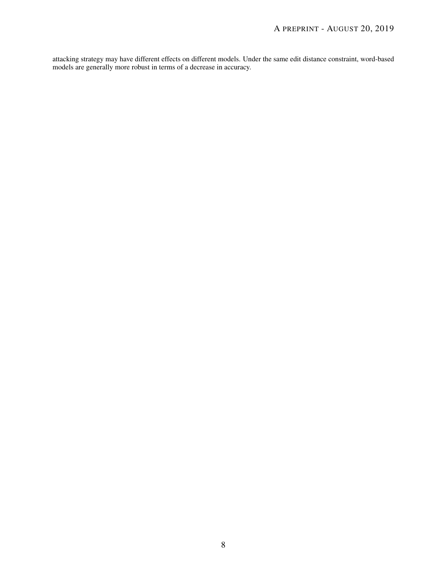attacking strategy may have different effects on different models. Under the same edit distance constraint, word-based models are generally more robust in terms of a decrease in accuracy.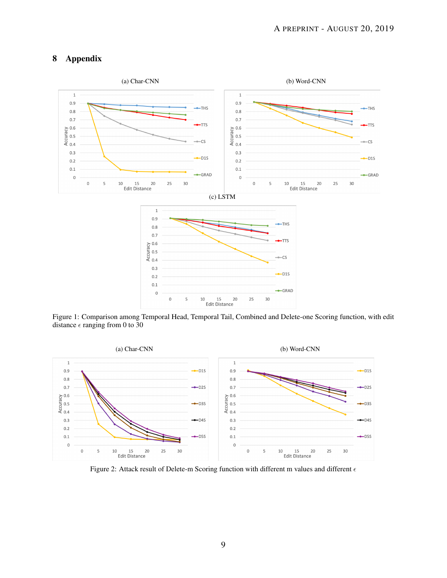# 8 Appendix

<span id="page-8-0"></span>

Figure 1: Comparison among Temporal Head, Temporal Tail, Combined and Delete-one Scoring function, with edit distance  $\epsilon$  ranging from 0 to 30



Figure 2: Attack result of Delete-m Scoring function with different m values and different  $\epsilon$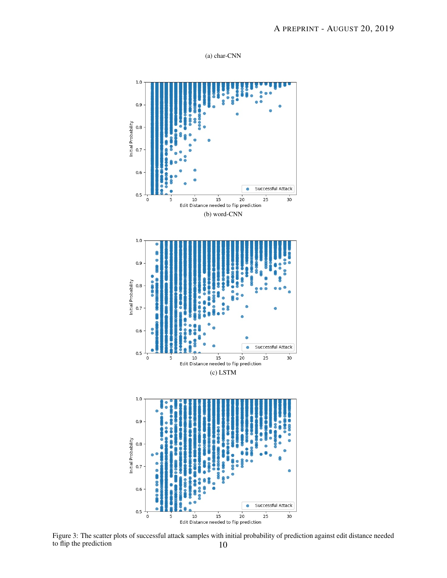

<span id="page-9-0"></span>

Figure 3: The scatter plots of successful attack samples with initial probability of prediction against edit distance needed to flip the prediction 10